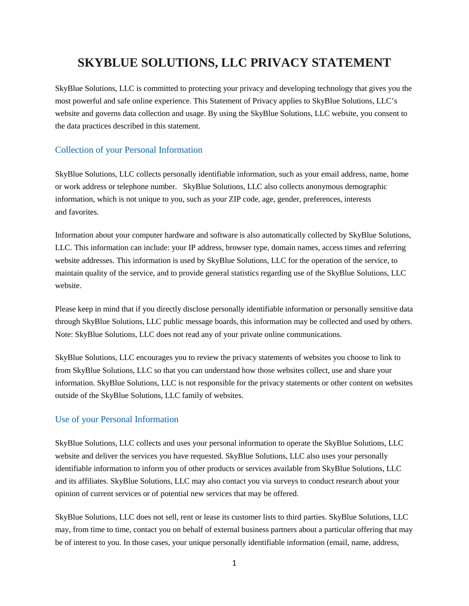# **SKYBLUE SOLUTIONS, LLC PRIVACY STATEMENT**

SkyBlue Solutions, LLC is committed to protecting your privacy and developing technology that gives you the most powerful and safe online experience. This Statement of Privacy applies to SkyBlue Solutions, LLC's website and governs data collection and usage. By using the SkyBlue Solutions, LLC website, you consent to the data practices described in this statement.

### Collection of your Personal Information

SkyBlue Solutions, LLC collects personally identifiable information, such as your email address, name, home or work address or telephone number. SkyBlue Solutions, LLC also collects anonymous demographic information, which is not unique to you, such as your ZIP code, age, gender, preferences, interests and favorites.

Information about your computer hardware and software is also automatically collected by SkyBlue Solutions, LLC. This information can include: your IP address, browser type, domain names, access times and referring website addresses. This information is used by SkyBlue Solutions, LLC for the operation of the service, to maintain quality of the service, and to provide general statistics regarding use of the SkyBlue Solutions, LLC website.

Please keep in mind that if you directly disclose personally identifiable information or personally sensitive data through SkyBlue Solutions, LLC public message boards, this information may be collected and used by others. Note: SkyBlue Solutions, LLC does not read any of your private online communications.

SkyBlue Solutions, LLC encourages you to review the privacy statements of websites you choose to link to from SkyBlue Solutions, LLC so that you can understand how those websites collect, use and share your information. SkyBlue Solutions, LLC is not responsible for the privacy statements or other content on websites outside of the SkyBlue Solutions, LLC family of websites.

#### Use of your Personal Information

SkyBlue Solutions, LLC collects and uses your personal information to operate the SkyBlue Solutions, LLC website and deliver the services you have requested. SkyBlue Solutions, LLC also uses your personally identifiable information to inform you of other products or services available from SkyBlue Solutions, LLC and its affiliates. SkyBlue Solutions, LLC may also contact you via surveys to conduct research about your opinion of current services or of potential new services that may be offered.

SkyBlue Solutions, LLC does not sell, rent or lease its customer lists to third parties. SkyBlue Solutions, LLC may, from time to time, contact you on behalf of external business partners about a particular offering that may be of interest to you. In those cases, your unique personally identifiable information (email, name, address,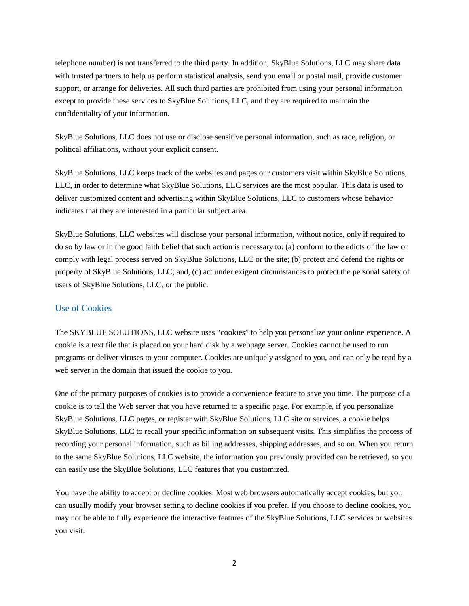telephone number) is not transferred to the third party. In addition, SkyBlue Solutions, LLC may share data with trusted partners to help us perform statistical analysis, send you email or postal mail, provide customer support, or arrange for deliveries. All such third parties are prohibited from using your personal information except to provide these services to SkyBlue Solutions, LLC, and they are required to maintain the confidentiality of your information.

SkyBlue Solutions, LLC does not use or disclose sensitive personal information, such as race, religion, or political affiliations, without your explicit consent.

SkyBlue Solutions, LLC keeps track of the websites and pages our customers visit within SkyBlue Solutions, LLC, in order to determine what SkyBlue Solutions, LLC services are the most popular. This data is used to deliver customized content and advertising within SkyBlue Solutions, LLC to customers whose behavior indicates that they are interested in a particular subject area.

SkyBlue Solutions, LLC websites will disclose your personal information, without notice, only if required to do so by law or in the good faith belief that such action is necessary to: (a) conform to the edicts of the law or comply with legal process served on SkyBlue Solutions, LLC or the site; (b) protect and defend the rights or property of SkyBlue Solutions, LLC; and, (c) act under exigent circumstances to protect the personal safety of users of SkyBlue Solutions, LLC, or the public.

#### Use of Cookies

The SKYBLUE SOLUTIONS, LLC website uses "cookies" to help you personalize your online experience. A cookie is a text file that is placed on your hard disk by a webpage server. Cookies cannot be used to run programs or deliver viruses to your computer. Cookies are uniquely assigned to you, and can only be read by a web server in the domain that issued the cookie to you.

One of the primary purposes of cookies is to provide a convenience feature to save you time. The purpose of a cookie is to tell the Web server that you have returned to a specific page. For example, if you personalize SkyBlue Solutions, LLC pages, or register with SkyBlue Solutions, LLC site or services, a cookie helps SkyBlue Solutions, LLC to recall your specific information on subsequent visits. This simplifies the process of recording your personal information, such as billing addresses, shipping addresses, and so on. When you return to the same SkyBlue Solutions, LLC website, the information you previously provided can be retrieved, so you can easily use the SkyBlue Solutions, LLC features that you customized.

You have the ability to accept or decline cookies. Most web browsers automatically accept cookies, but you can usually modify your browser setting to decline cookies if you prefer. If you choose to decline cookies, you may not be able to fully experience the interactive features of the SkyBlue Solutions, LLC services or websites you visit.